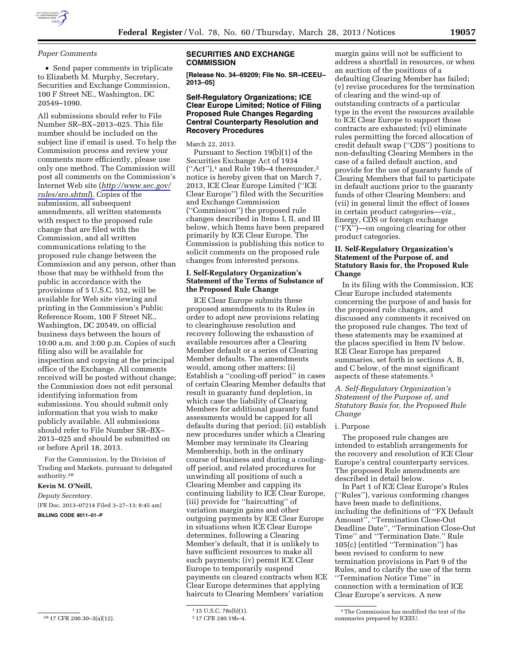

#### *Paper Comments*

• Send paper comments in triplicate to Elizabeth M. Murphy, Secretary, Securities and Exchange Commission, 100 F Street NE., Washington, DC 20549–1090.

All submissions should refer to File Number SR–BX–2013–025. This file number should be included on the subject line if email is used. To help the Commission process and review your comments more efficiently, please use only one method. The Commission will post all comments on the Commission's Internet Web site (*[http://www.sec.gov/](http://www.sec.gov/rules/sro.shtml)  [rules/sro.shtml](http://www.sec.gov/rules/sro.shtml)*). Copies of the submission, all subsequent amendments, all written statements with respect to the proposed rule change that are filed with the Commission, and all written communications relating to the proposed rule change between the Commission and any person, other than those that may be withheld from the public in accordance with the provisions of 5 U.S.C. 552, will be available for Web site viewing and printing in the Commission's Public Reference Room, 100 F Street NE., Washington, DC 20549, on official business days between the hours of 10:00 a.m. and 3:00 p.m. Copies of such filing also will be available for inspection and copying at the principal office of the Exchange. All comments received will be posted without change; the Commission does not edit personal identifying information from submissions. You should submit only information that you wish to make publicly available. All submissions should refer to File Number SR–BX– 2013–025 and should be submitted on or before April 18, 2013.

For the Commission, by the Division of Trading and Markets, pursuant to delegated authority.28

# **Kevin M. O'Neill,**

*Deputy Secretary.*  [FR Doc. 2013–07214 Filed 3–27–13; 8:45 am] **BILLING CODE 8011–01–P** 

#### **SECURITIES AND EXCHANGE COMMISSION**

**[Release No. 34–69209; File No. SR–ICEEU– 2013–05]** 

## **Self-Regulatory Organizations; ICE Clear Europe Limited; Notice of Filing Proposed Rule Changes Regarding Central Counterparty Resolution and Recovery Procedures**

March 22, 2013.

Pursuant to Section 19(b)(1) of the Securities Exchange Act of 1934 (''Act''),1 and Rule 19b–4 thereunder,2 notice is hereby given that on March 7, 2013, ICE Clear Europe Limited (''ICE Clear Europe'') filed with the Securities and Exchange Commission (''Commission'') the proposed rule changes described in Items I, II, and III below, which Items have been prepared primarily by ICE Clear Europe. The Commission is publishing this notice to solicit comments on the proposed rule changes from interested persons.

## **I. Self-Regulatory Organization's Statement of the Terms of Substance of the Proposed Rule Change**

ICE Clear Europe submits these proposed amendments to its Rules in order to adopt new provisions relating to clearinghouse resolution and recovery following the exhaustion of available resources after a Clearing Member default or a series of Clearing Member defaults. The amendments would, among other matters: (i) Establish a ''cooling-off period'' in cases of certain Clearing Member defaults that result in guaranty fund depletion, in which case the liability of Clearing Members for additional guaranty fund assessments would be capped for all defaults during that period; (ii) establish new procedures under which a Clearing Member may terminate its Clearing Membership, both in the ordinary course of business and during a coolingoff period, and related procedures for unwinding all positions of such a Clearing Member and capping its continuing liability to ICE Clear Europe, (iii) provide for ''haircutting'' of variation margin gains and other outgoing payments by ICE Clear Europe in situations when ICE Clear Europe determines, following a Clearing Member's default, that it is unlikely to have sufficient resources to make all such payments; (iv) permit ICE Clear Europe to temporarily suspend payments on cleared contracts when ICE Clear Europe determines that applying haircuts to Clearing Members' variation

margin gains will not be sufficient to address a shortfall in resources, or when an auction of the positions of a defaulting Clearing Member has failed; (v) revise procedures for the termination of clearing and the wind-up of outstanding contracts of a particular type in the event the resources available to ICE Clear Europe to support those contracts are exhausted; (vi) eliminate rules permitting the forced allocation of credit default swap (''CDS'') positions to non-defaulting Clearing Members in the case of a failed default auction, and provide for the use of guaranty funds of Clearing Members that fail to participate in default auctions prior to the guaranty funds of other Clearing Members; and (vii) in general limit the effect of losses in certain product categories—*viz.,*  Energy, CDS or foreign exchange (''FX'')—on ongoing clearing for other product categories.

## **II. Self-Regulatory Organization's Statement of the Purpose of, and Statutory Basis for, the Proposed Rule Change**

In its filing with the Commission, ICE Clear Europe included statements concerning the purpose of and basis for the proposed rule changes, and discussed any comments it received on the proposed rule changes. The text of these statements may be examined at the places specified in Item IV below. ICE Clear Europe has prepared summaries, set forth in sections A, B, and C below, of the most significant aspects of these statements.3

#### *A. Self-Regulatory Organization's Statement of the Purpose of, and Statutory Basis for, the Proposed Rule Change*

#### i. Purpose

The proposed rule changes are intended to establish arrangements for the recovery and resolution of ICE Clear Europe's central counterparty services. The proposed Rule amendments are described in detail below.

In Part 1 of ICE Clear Europe's Rules (''Rules''), various conforming changes have been made to definitions, including the definitions of ''FX Default Amount'', ''Termination Close-Out Deadline Date'', ''Termination Close-Out Time'' and ''Termination Date.'' Rule 105(c) (entitled ''Termination'') has been revised to conform to new termination provisions in Part 9 of the Rules, and to clarify the use of the term ''Termination Notice Time'' in connection with a termination of ICE Clear Europe's services. A new

<sup>28</sup> 17 CFR 200.30–3(a)(12).

<sup>1</sup> 15 U.S.C. 78s(b)(1).

<sup>2</sup> 17 CFR 240.19b–4.

<sup>3</sup>The Commission has modified the text of the summaries prepared by ICEEU.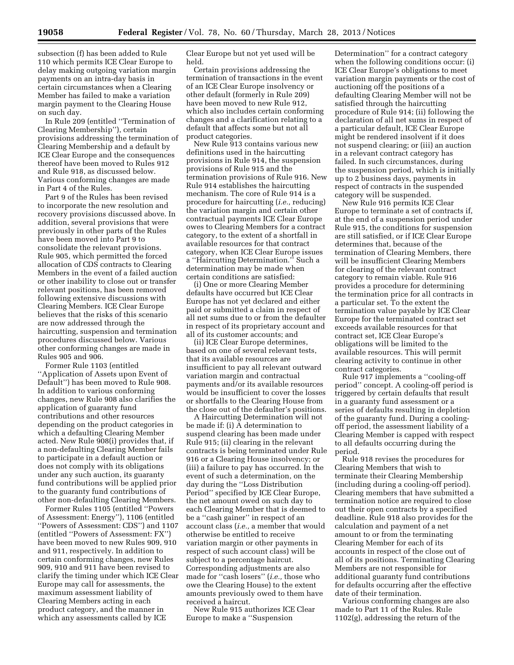subsection (f) has been added to Rule 110 which permits ICE Clear Europe to delay making outgoing variation margin payments on an intra-day basis in certain circumstances when a Clearing Member has failed to make a variation margin payment to the Clearing House on such day.

In Rule 209 (entitled ''Termination of Clearing Membership''), certain provisions addressing the termination of Clearing Membership and a default by ICE Clear Europe and the consequences thereof have been moved to Rules 912 and Rule 918, as discussed below. Various conforming changes are made in Part 4 of the Rules.

Part 9 of the Rules has been revised to incorporate the new resolution and recovery provisions discussed above. In addition, several provisions that were previously in other parts of the Rules have been moved into Part 9 to consolidate the relevant provisions. Rule 905, which permitted the forced allocation of CDS contracts to Clearing Members in the event of a failed auction or other inability to close out or transfer relevant positions, has been removed following extensive discussions with Clearing Members. ICE Clear Europe believes that the risks of this scenario are now addressed through the haircutting, suspension and termination procedures discussed below. Various other conforming changes are made in Rules 905 and 906.

Former Rule 1103 (entitled ''Application of Assets upon Event of Default'') has been moved to Rule 908. In addition to various conforming changes, new Rule 908 also clarifies the application of guaranty fund contributions and other resources depending on the product categories in which a defaulting Clearing Member acted. New Rule 908(i) provides that, if a non-defaulting Clearing Member fails to participate in a default auction or does not comply with its obligations under any such auction, its guaranty fund contributions will be applied prior to the guaranty fund contributions of other non-defaulting Clearing Members.

Former Rules 1105 (entitled ''Powers of Assessment: Energy''), 1106 (entitled ''Powers of Assessment: CDS'') and 1107 (entitled ''Powers of Assessment: FX'') have been moved to new Rules 909, 910 and 911, respectively. In addition to certain conforming changes, new Rules 909, 910 and 911 have been revised to clarify the timing under which ICE Clear Europe may call for assessments, the maximum assessment liability of Clearing Members acting in each product category, and the manner in which any assessments called by ICE

Clear Europe but not yet used will be held.

Certain provisions addressing the termination of transactions in the event of an ICE Clear Europe insolvency or other default (formerly in Rule 209) have been moved to new Rule 912, which also includes certain conforming changes and a clarification relating to a default that affects some but not all product categories.

New Rule 913 contains various new definitions used in the haircutting provisions in Rule 914, the suspension provisions of Rule 915 and the termination provisions of Rule 916. New Rule 914 establishes the haircutting mechanism. The core of Rule 914 is a procedure for haircutting (*i.e.,* reducing) the variation margin and certain other contractual payments ICE Clear Europe owes to Clearing Members for a contract category, to the extent of a shortfall in available resources for that contract category, when ICE Clear Europe issues a ''Haircutting Determination.'' Such a determination may be made when certain conditions are satisfied:

(i) One or more Clearing Member defaults have occurred but ICE Clear Europe has not yet declared and either paid or submitted a claim in respect of all net sums due to or from the defaulter in respect of its proprietary account and all of its customer accounts; and

(ii) ICE Clear Europe determines, based on one of several relevant tests, that its available resources are insufficient to pay all relevant outward variation margin and contractual payments and/or its available resources would be insufficient to cover the losses or shortfalls to the Clearing House from the close out of the defaulter's positions.

A Haircutting Determination will not be made if: (i) A determination to suspend clearing has been made under Rule 915; (ii) clearing in the relevant contracts is being terminated under Rule 916 or a Clearing House insolvency; or (iii) a failure to pay has occurred. In the event of such a determination, on the day during the ''Loss Distribution Period'' specified by ICE Clear Europe, the net amount owed on such day to each Clearing Member that is deemed to be a ''cash gainer'' in respect of an account class (*i.e.,* a member that would otherwise be entitled to receive variation margin or other payments in respect of such account class) will be subject to a percentage haircut. Corresponding adjustments are also made for ''cash losers'' (*i.e.,* those who owe the Clearing House) to the extent amounts previously owed to them have received a haircut.

New Rule 915 authorizes ICE Clear Europe to make a ''Suspension

Determination'' for a contract category when the following conditions occur: (i) ICE Clear Europe's obligations to meet variation margin payments or the cost of auctioning off the positions of a defaulting Clearing Member will not be satisfied through the haircutting procedure of Rule 914; (ii) following the declaration of all net sums in respect of a particular default, ICE Clear Europe might be rendered insolvent if it does not suspend clearing; or (iii) an auction in a relevant contract category has failed. In such circumstances, during the suspension period, which is initially up to 2 business days, payments in respect of contracts in the suspended category will be suspended.

New Rule 916 permits ICE Clear Europe to terminate a set of contracts if, at the end of a suspension period under Rule 915, the conditions for suspension are still satisfied, or if ICE Clear Europe determines that, because of the termination of Clearing Members, there will be insufficient Clearing Members for clearing of the relevant contract category to remain viable. Rule 916 provides a procedure for determining the termination price for all contracts in a particular set. To the extent the termination value payable by ICE Clear Europe for the terminated contract set exceeds available resources for that contract set, ICE Clear Europe's obligations will be limited to the available resources. This will permit clearing activity to continue in other contract categories.

Rule 917 implements a ''cooling-off period'' concept. A cooling-off period is triggered by certain defaults that result in a guaranty fund assessment or a series of defaults resulting in depletion of the guaranty fund. During a coolingoff period, the assessment liability of a Clearing Member is capped with respect to all defaults occurring during the period.

Rule 918 revises the procedures for Clearing Members that wish to terminate their Clearing Membership (including during a cooling-off period). Clearing members that have submitted a termination notice are required to close out their open contracts by a specified deadline. Rule 918 also provides for the calculation and payment of a net amount to or from the terminating Clearing Member for each of its accounts in respect of the close out of all of its positions. Terminating Clearing Members are not responsible for additional guaranty fund contributions for defaults occurring after the effective date of their termination.

Various conforming changes are also made to Part 11 of the Rules. Rule 1102(g), addressing the return of the